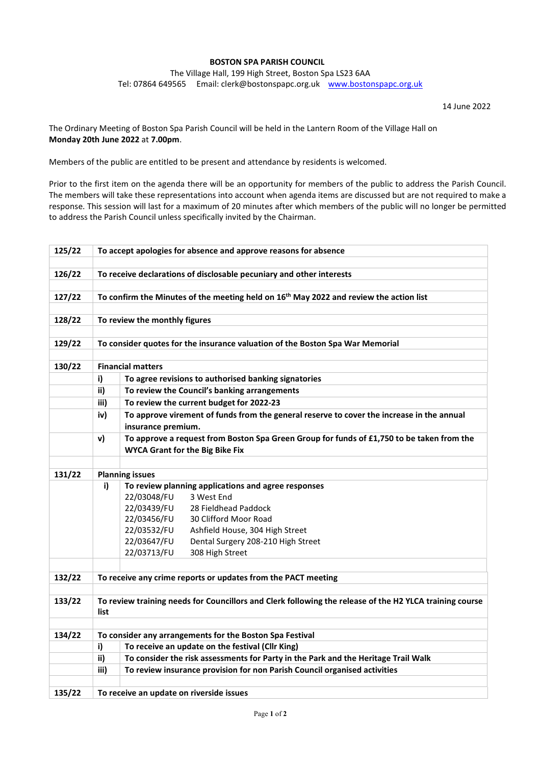## BOSTON SPA PARISH COUNCIL

The Village Hall, 199 High Street, Boston Spa LS23 6AA Tel: 07864 649565 Email: clerk@bostonspapc.org.uk www.bostonspapc.org.uk

14 June 2022

The Ordinary Meeting of Boston Spa Parish Council will be held in the Lantern Room of the Village Hall on Monday 20th June 2022 at 7.00pm.

Members of the public are entitled to be present and attendance by residents is welcomed.

Prior to the first item on the agenda there will be an opportunity for members of the public to address the Parish Council. The members will take these representations into account when agenda items are discussed but are not required to make a response. This session will last for a maximum of 20 minutes after which members of the public will no longer be permitted to address the Parish Council unless specifically invited by the Chairman.

| 125/22 | To accept apologies for absence and approve reasons for absence                                                                                     |                                                                                                                                     |  |  |  |  |
|--------|-----------------------------------------------------------------------------------------------------------------------------------------------------|-------------------------------------------------------------------------------------------------------------------------------------|--|--|--|--|
| 126/22 | To receive declarations of disclosable pecuniary and other interests                                                                                |                                                                                                                                     |  |  |  |  |
|        |                                                                                                                                                     |                                                                                                                                     |  |  |  |  |
| 127/22 | To confirm the Minutes of the meeting held on 16 <sup>th</sup> May 2022 and review the action list                                                  |                                                                                                                                     |  |  |  |  |
|        |                                                                                                                                                     |                                                                                                                                     |  |  |  |  |
| 128/22 | To review the monthly figures                                                                                                                       |                                                                                                                                     |  |  |  |  |
|        |                                                                                                                                                     |                                                                                                                                     |  |  |  |  |
| 129/22 | To consider quotes for the insurance valuation of the Boston Spa War Memorial                                                                       |                                                                                                                                     |  |  |  |  |
|        | <b>Financial matters</b>                                                                                                                            |                                                                                                                                     |  |  |  |  |
| 130/22 |                                                                                                                                                     |                                                                                                                                     |  |  |  |  |
|        | i)                                                                                                                                                  | To agree revisions to authorised banking signatories                                                                                |  |  |  |  |
|        | ii)                                                                                                                                                 | To review the Council's banking arrangements                                                                                        |  |  |  |  |
|        | iii)                                                                                                                                                | To review the current budget for 2022-23                                                                                            |  |  |  |  |
|        | iv)                                                                                                                                                 | To approve virement of funds from the general reserve to cover the increase in the annual<br>insurance premium.                     |  |  |  |  |
|        | v)                                                                                                                                                  |                                                                                                                                     |  |  |  |  |
|        |                                                                                                                                                     | To approve a request from Boston Spa Green Group for funds of £1,750 to be taken from the<br><b>WYCA Grant for the Big Bike Fix</b> |  |  |  |  |
|        |                                                                                                                                                     |                                                                                                                                     |  |  |  |  |
| 131/22 |                                                                                                                                                     | <b>Planning issues</b>                                                                                                              |  |  |  |  |
|        | i)                                                                                                                                                  | To review planning applications and agree responses                                                                                 |  |  |  |  |
|        |                                                                                                                                                     | 22/03048/FU<br>3 West End                                                                                                           |  |  |  |  |
|        |                                                                                                                                                     | 22/03439/FU<br>28 Fieldhead Paddock                                                                                                 |  |  |  |  |
|        |                                                                                                                                                     | 22/03456/FU<br>30 Clifford Moor Road                                                                                                |  |  |  |  |
|        |                                                                                                                                                     | 22/03532/FU<br>Ashfield House, 304 High Street                                                                                      |  |  |  |  |
|        |                                                                                                                                                     | 22/03647/FU<br>Dental Surgery 208-210 High Street                                                                                   |  |  |  |  |
|        |                                                                                                                                                     | 22/03713/FU<br>308 High Street                                                                                                      |  |  |  |  |
|        |                                                                                                                                                     |                                                                                                                                     |  |  |  |  |
| 132/22 | To receive any crime reports or updates from the PACT meeting                                                                                       |                                                                                                                                     |  |  |  |  |
| 133/22 | To review training needs for Councillors and Clerk following the release of the H2 YLCA training course<br>list                                     |                                                                                                                                     |  |  |  |  |
| 134/22 |                                                                                                                                                     |                                                                                                                                     |  |  |  |  |
|        | To consider any arrangements for the Boston Spa Festival                                                                                            |                                                                                                                                     |  |  |  |  |
|        | To receive an update on the festival (Cllr King)<br>i)<br>ii)<br>To consider the risk assessments for Party in the Park and the Heritage Trail Walk |                                                                                                                                     |  |  |  |  |
|        | iii)<br>To review insurance provision for non Parish Council organised activities                                                                   |                                                                                                                                     |  |  |  |  |
|        |                                                                                                                                                     |                                                                                                                                     |  |  |  |  |
| 135/22 | To receive an update on riverside issues                                                                                                            |                                                                                                                                     |  |  |  |  |